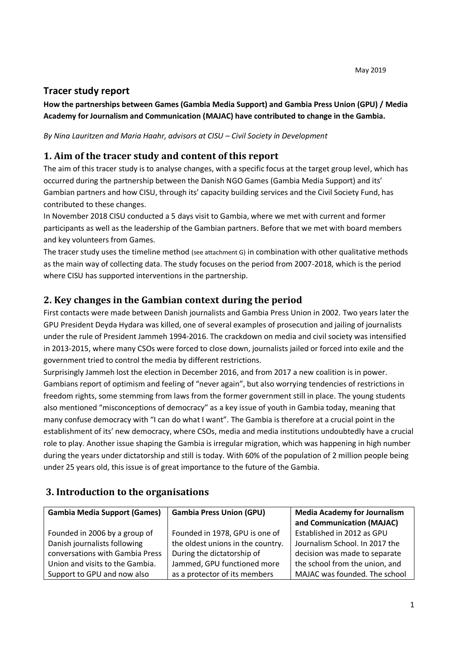# **Tracer study report**

## **How the partnerships between Games (Gambia Media Support) and Gambia Press Union (GPU) / Media Academy for Journalism and Communication (MAJAC) have contributed to change in the Gambia.**

*By Nina Lauritzen and Maria Haahr, advisors at CISU – Civil Society in Development*

## **1. Aim of the tracer study and content of this report**

The aim of this tracer study is to analyse changes, with a specific focus at the target group level, which has occurred during the partnership between the Danish NGO Games (Gambia Media Support) and its' Gambian partners and how CISU, through its' capacity building services and the Civil Society Fund, has contributed to these changes.

In November 2018 CISU conducted a 5 days visit to Gambia, where we met with current and former participants as well as the leadership of the Gambian partners. Before that we met with board members and key volunteers from Games.

The tracer study uses the timeline method (see attachment G) in combination with other qualitative methods as the main way of collecting data. The study focuses on the period from 2007-2018, which is the period where CISU has supported interventions in the partnership.

# **2. Key changes in the Gambian context during the period**

First contacts were made between Danish journalists and Gambia Press Union in 2002. Two years later the GPU President Deyda Hydara was killed, one of several examples of prosecution and jailing of journalists under the rule of President Jammeh 1994-2016. The crackdown on media and civil society was intensified in 2013-2015, where many CSOs were forced to close down, journalists jailed or forced into exile and the government tried to control the media by different restrictions.

Surprisingly Jammeh lost the election in December 2016, and from 2017 a new coalition is in power. Gambians report of optimism and feeling of "never again", but also worrying tendencies of restrictions in freedom rights, some stemming from laws from the former government still in place. The young students also mentioned "misconceptions of democracy" as a key issue of youth in Gambia today, meaning that many confuse democracy with "I can do what I want". The Gambia is therefore at a crucial point in the establishment of its' new democracy, where CSOs, media and media institutions undoubtedly have a crucial role to play. Another issue shaping the Gambia is irregular migration, which was happening in high number during the years under dictatorship and still is today. With 60% of the population of 2 million people being under 25 years old, this issue is of great importance to the future of the Gambia.

## **3. Introduction to the organisations**

| <b>Gambia Media Support (Games)</b> | <b>Gambia Press Union (GPU)</b>   | <b>Media Academy for Journalism</b> |
|-------------------------------------|-----------------------------------|-------------------------------------|
|                                     |                                   | and Communication (MAJAC)           |
| Founded in 2006 by a group of       | Founded in 1978, GPU is one of    | Established in 2012 as GPU          |
| Danish journalists following        | the oldest unions in the country. | Journalism School. In 2017 the      |
| conversations with Gambia Press     | During the dictatorship of        | decision was made to separate       |
| Union and visits to the Gambia.     | Jammed, GPU functioned more       | the school from the union, and      |
| Support to GPU and now also         | as a protector of its members     | MAJAC was founded. The school       |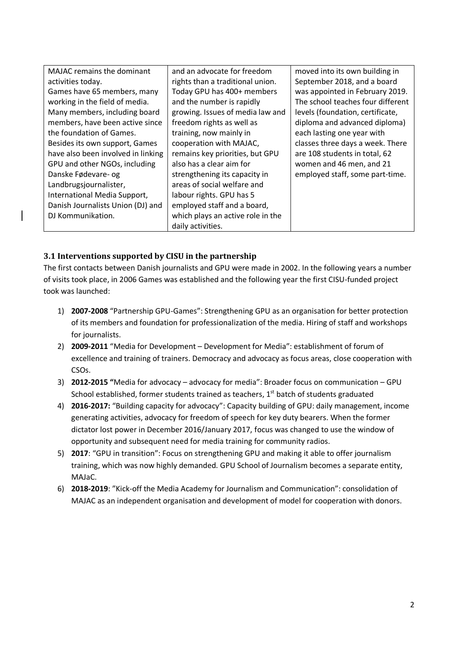| <b>MAJAC</b> remains the dominant  | and an advocate for freedom       | moved into its own building in    |
|------------------------------------|-----------------------------------|-----------------------------------|
| activities today.                  | rights than a traditional union.  | September 2018, and a board       |
| Games have 65 members, many        | Today GPU has 400+ members        | was appointed in February 2019.   |
| working in the field of media.     | and the number is rapidly         | The school teaches four different |
| Many members, including board      | growing. Issues of media law and  | levels (foundation, certificate,  |
| members, have been active since    | freedom rights as well as         | diploma and advanced diploma)     |
| the foundation of Games.           | training, now mainly in           | each lasting one year with        |
| Besides its own support, Games     | cooperation with MAJAC,           | classes three days a week. There  |
| have also been involved in linking | remains key priorities, but GPU   | are 108 students in total, 62     |
| GPU and other NGOs, including      | also has a clear aim for          | women and 46 men, and 21          |
| Danske Fødevare- og                | strengthening its capacity in     | employed staff, some part-time.   |
| Landbrugsjournalister,             | areas of social welfare and       |                                   |
| International Media Support,       | labour rights. GPU has 5          |                                   |
| Danish Journalists Union (DJ) and  | employed staff and a board,       |                                   |
| DJ Kommunikation.                  | which plays an active role in the |                                   |
|                                    | daily activities.                 |                                   |

### **3.1 Interventions supported by CISU in the partnership**

The first contacts between Danish journalists and GPU were made in 2002. In the following years a number of visits took place, in 2006 Games was established and the following year the first CISU-funded project took was launched:

- 1) **2007-2008** "Partnership GPU-Games": Strengthening GPU as an organisation for better protection of its members and foundation for professionalization of the media. Hiring of staff and workshops for journalists.
- 2) **2009-2011** "Media for Development Development for Media": establishment of forum of excellence and training of trainers. Democracy and advocacy as focus areas, close cooperation with CSOs.
- 3) **2012-2015 "**Media for advocacy advocacy for media": Broader focus on communication GPU School established, former students trained as teachers,  $1<sup>st</sup>$  batch of students graduated
- 4) **2016-2017:** "Building capacity for advocacy": Capacity building of GPU: daily management, income generating activities, advocacy for freedom of speech for key duty bearers. When the former dictator lost power in December 2016/January 2017, focus was changed to use the window of opportunity and subsequent need for media training for community radios.
- 5) **2017**: "GPU in transition": Focus on strengthening GPU and making it able to offer journalism training, which was now highly demanded. GPU School of Journalism becomes a separate entity, MAJaC.
- 6) **2018-2019**: "Kick-off the Media Academy for Journalism and Communication": consolidation of MAJAC as an independent organisation and development of model for cooperation with donors.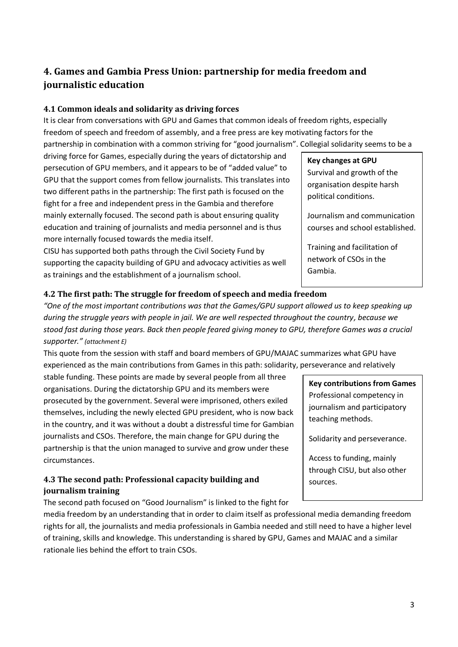# **4. Games and Gambia Press Union: partnership for media freedom and journalistic education**

#### **4.1 Common ideals and solidarity as driving forces**

It is clear from conversations with GPU and Games that common ideals of freedom rights, especially freedom of speech and freedom of assembly, and a free press are key motivating factors for the partnership in combination with a common striving for "good journalism". Collegial solidarity seems to be a

driving force for Games, especially during the years of dictatorship and persecution of GPU members, and it appears to be of "added value" to GPU that the support comes from fellow journalists. This translates into two different paths in the partnership: The first path is focused on the fight for a free and independent press in the Gambia and therefore mainly externally focused. The second path is about ensuring quality education and training of journalists and media personnel and is thus more internally focused towards the media itself.

CISU has supported both paths through the Civil Society Fund by supporting the capacity building of GPU and advocacy activities as well as trainings and the establishment of a journalism school.

# **Key changes at GPU** Survival and growth of the organisation despite harsh political conditions.

Journalism and communication courses and school established.

Training and facilitation of network of CSOs in the Gambia.

#### **4.2 The first path: The struggle for freedom of speech and media freedom**

*"One of the most important contributions was that the Games/GPU support allowed us to keep speaking up during the struggle years with people in jail. We are well respected throughout the country, because we stood fast during those years. Back then people feared giving money to GPU, therefore Games was a crucial supporter." (attachment E)*

This quote from the session with staff and board members of GPU/MAJAC summarizes what GPU have experienced as the main contributions from Games in this path: solidarity, perseverance and relatively

stable funding. These points are made by several people from all three organisations. During the dictatorship GPU and its members were prosecuted by the government. Several were imprisoned, others exiled themselves, including the newly elected GPU president, who is now back in the country, and it was without a doubt a distressful time for Gambian journalists and CSOs. Therefore, the main change for GPU during the partnership is that the union managed to survive and grow under these circumstances.

## **4.3 The second path: Professional capacity building and journalism training**

The second path focused on "Good Journalism" is linked to the fight for

media freedom by an understanding that in order to claim itself as professional media demanding freedom rights for all, the journalists and media professionals in Gambia needed and still need to have a higher level of training, skills and knowledge. This understanding is shared by GPU, Games and MAJAC and a similar rationale lies behind the effort to train CSOs.

**Key contributions from Games** Professional competency in journalism and participatory teaching methods.

Solidarity and perseverance.

Access to funding, mainly through CISU, but also other sources.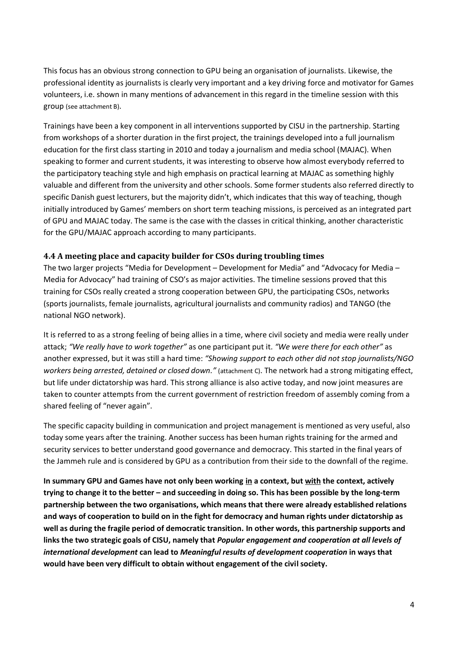This focus has an obvious strong connection to GPU being an organisation of journalists. Likewise, the professional identity as journalists is clearly very important and a key driving force and motivator for Games volunteers, i.e. shown in many mentions of advancement in this regard in the timeline session with this group (see attachment B).

Trainings have been a key component in all interventions supported by CISU in the partnership. Starting from workshops of a shorter duration in the first project, the trainings developed into a full journalism education for the first class starting in 2010 and today a journalism and media school (MAJAC). When speaking to former and current students, it was interesting to observe how almost everybody referred to the participatory teaching style and high emphasis on practical learning at MAJAC as something highly valuable and different from the university and other schools. Some former students also referred directly to specific Danish guest lecturers, but the majority didn't, which indicates that this way of teaching, though initially introduced by Games' members on short term teaching missions, is perceived as an integrated part of GPU and MAJAC today. The same is the case with the classes in critical thinking, another characteristic for the GPU/MAJAC approach according to many participants.

#### **4.4 A meeting place and capacity builder for CSOs during troubling times**

The two larger projects "Media for Development – Development for Media" and "Advocacy for Media – Media for Advocacy" had training of CSO's as major activities. The timeline sessions proved that this training for CSOs really created a strong cooperation between GPU, the participating CSOs, networks (sports journalists, female journalists, agricultural journalists and community radios) and TANGO (the national NGO network).

It is referred to as a strong feeling of being allies in a time, where civil society and media were really under attack; *"We really have to work together"* as one participant put it. *"We were there for each other"* as another expressed, but it was still a hard time: *"Showing support to each other did not stop journalists/NGO workers being arrested, detained or closed down."* (attachment C). The network had a strong mitigating effect, but life under dictatorship was hard. This strong alliance is also active today, and now joint measures are taken to counter attempts from the current government of restriction freedom of assembly coming from a shared feeling of "never again".

The specific capacity building in communication and project management is mentioned as very useful, also today some years after the training. Another success has been human rights training for the armed and security services to better understand good governance and democracy. This started in the final years of the Jammeh rule and is considered by GPU as a contribution from their side to the downfall of the regime.

**In summary GPU and Games have not only been working in a context, but with the context, actively trying to change it to the better – and succeeding in doing so. This has been possible by the long-term partnership between the two organisations, which means that there were already established relations and ways of cooperation to build on in the fight for democracy and human rights under dictatorship as well as during the fragile period of democratic transition. In other words, this partnership supports and links the two strategic goals of CISU, namely that** *Popular engagement and cooperation at all levels of international development* **can lead to** *Meaningful results of development cooperation* **in ways that would have been very difficult to obtain without engagement of the civil society.**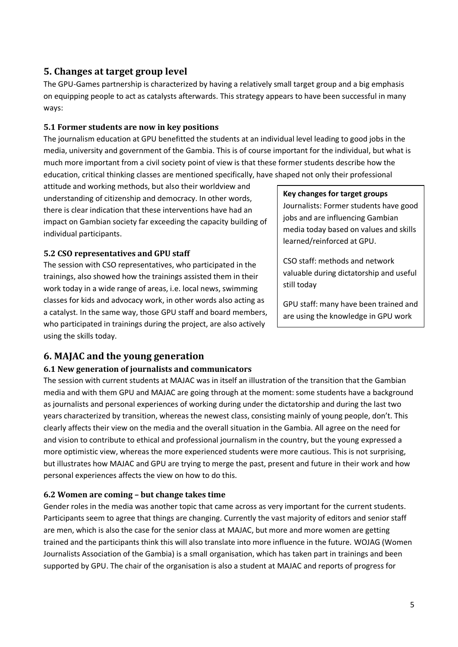## **5. Changes at target group level**

The GPU-Games partnership is characterized by having a relatively small target group and a big emphasis on equipping people to act as catalysts afterwards. This strategy appears to have been successful in many ways:

### **5.1 Former students are now in key positions**

The journalism education at GPU benefitted the students at an individual level leading to good jobs in the media, university and government of the Gambia. This is of course important for the individual, but what is much more important from a civil society point of view is that these former students describe how the education, critical thinking classes are mentioned specifically, have shaped not only their professional

attitude and working methods, but also their worldview and understanding of citizenship and democracy. In other words, there is clear indication that these interventions have had an impact on Gambian society far exceeding the capacity building of individual participants.

#### **5.2 CSO representatives and GPU staff**

The session with CSO representatives, who participated in the trainings, also showed how the trainings assisted them in their work today in a wide range of areas, i.e. local news, swimming classes for kids and advocacy work, in other words also acting as a catalyst. In the same way, those GPU staff and board members, who participated in trainings during the project, are also actively using the skills today.

## **Key changes for target groups** Journalists: Former students have good jobs and are influencing Gambian media today based on values and skills learned/reinforced at GPU.

CSO staff: methods and network valuable during dictatorship and useful still today

GPU staff: many have been trained and are using the knowledge in GPU work

today.

# **6. MAJAC and the young generation**

#### **6.1 New generation of journalists and communicators**

The session with current students at MAJAC was in itself an illustration of the transition that the Gambian media and with them GPU and MAJAC are going through at the moment: some students have a background as journalists and personal experiences of working during under the dictatorship and during the last two years characterized by transition, whereas the newest class, consisting mainly of young people, don't. This clearly affects their view on the media and the overall situation in the Gambia. All agree on the need for and vision to contribute to ethical and professional journalism in the country, but the young expressed a more optimistic view, whereas the more experienced students were more cautious. This is not surprising, but illustrates how MAJAC and GPU are trying to merge the past, present and future in their work and how personal experiences affects the view on how to do this.

### **6.2 Women are coming – but change takes time**

Gender roles in the media was another topic that came across as very important for the current students. Participants seem to agree that things are changing. Currently the vast majority of editors and senior staff are men, which is also the case for the senior class at MAJAC, but more and more women are getting trained and the participants think this will also translate into more influence in the future. WOJAG (Women Journalists Association of the Gambia) is a small organisation, which has taken part in trainings and been supported by GPU. The chair of the organisation is also a student at MAJAC and reports of progress for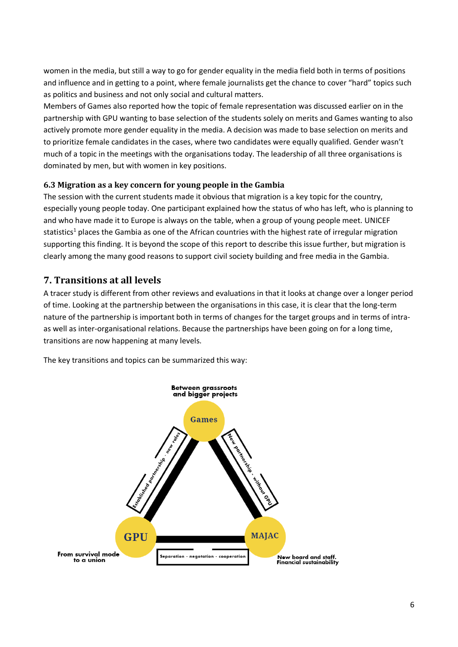women in the media, but still a way to go for gender equality in the media field both in terms of positions and influence and in getting to a point, where female journalists get the chance to cover "hard" topics such as politics and business and not only social and cultural matters.

Members of Games also reported how the topic of female representation was discussed earlier on in the partnership with GPU wanting to base selection of the students solely on merits and Games wanting to also actively promote more gender equality in the media. A decision was made to base selection on merits and to prioritize female candidates in the cases, where two candidates were equally qualified. Gender wasn't much of a topic in the meetings with the organisations today. The leadership of all three organisations is dominated by men, but with women in key positions.

#### **6.3 Migration as a key concern for young people in the Gambia**

The session with the current students made it obvious that migration is a key topic for the country, especially young people today. One participant explained how the status of who has left, who is planning to and who have made it to Europe is always on the table, when a group of young people meet. UNICEF statistics<sup>1</sup> places the Gambia as one of the African countries with the highest rate of irregular migration supporting this finding. It is beyond the scope of this report to describe this issue further, but migration is clearly among the many good reasons to support civil society building and free media in the Gambia.

## **7. Transitions at all levels**

A tracer study is different from other reviews and evaluations in that it looks at change over a longer period of time. Looking at the partnership between the organisations in this case, it is clear that the long-term nature of the partnership is important both in terms of changes for the target groups and in terms of intraas well as inter-organisational relations. Because the partnerships have been going on for a long time, transitions are now happening at many levels.

The key transitions and topics can be summarized this way:

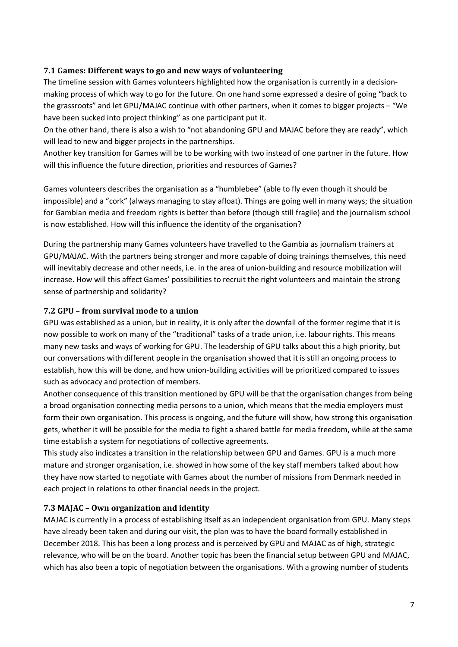#### **7.1 Games: Different ways to go and new ways of volunteering**

The timeline session with Games volunteers highlighted how the organisation is currently in a decisionmaking process of which way to go for the future. On one hand some expressed a desire of going "back to the grassroots" and let GPU/MAJAC continue with other partners, when it comes to bigger projects – "We have been sucked into project thinking" as one participant put it.

On the other hand, there is also a wish to "not abandoning GPU and MAJAC before they are ready", which will lead to new and bigger projects in the partnerships.

Another key transition for Games will be to be working with two instead of one partner in the future. How will this influence the future direction, priorities and resources of Games?

Games volunteers describes the organisation as a "humblebee" (able to fly even though it should be impossible) and a "cork" (always managing to stay afloat). Things are going well in many ways; the situation for Gambian media and freedom rights is better than before (though still fragile) and the journalism school is now established. How will this influence the identity of the organisation?

During the partnership many Games volunteers have travelled to the Gambia as journalism trainers at GPU/MAJAC. With the partners being stronger and more capable of doing trainings themselves, this need will inevitably decrease and other needs, i.e. in the area of union-building and resource mobilization will increase. How will this affect Games' possibilities to recruit the right volunteers and maintain the strong sense of partnership and solidarity?

#### **7.2 GPU – from survival mode to a union**

GPU was established as a union, but in reality, it is only after the downfall of the former regime that it is now possible to work on many of the "traditional" tasks of a trade union, i.e. labour rights. This means many new tasks and ways of working for GPU. The leadership of GPU talks about this a high priority, but our conversations with different people in the organisation showed that it is still an ongoing process to establish, how this will be done, and how union-building activities will be prioritized compared to issues such as advocacy and protection of members.

Another consequence of this transition mentioned by GPU will be that the organisation changes from being a broad organisation connecting media persons to a union, which means that the media employers must form their own organisation. This process is ongoing, and the future will show, how strong this organisation gets, whether it will be possible for the media to fight a shared battle for media freedom, while at the same time establish a system for negotiations of collective agreements.

This study also indicates a transition in the relationship between GPU and Games. GPU is a much more mature and stronger organisation, i.e. showed in how some of the key staff members talked about how they have now started to negotiate with Games about the number of missions from Denmark needed in each project in relations to other financial needs in the project.

### **7.3 MAJAC – Own organization and identity**

MAJAC is currently in a process of establishing itself as an independent organisation from GPU. Many steps have already been taken and during our visit, the plan was to have the board formally established in December 2018. This has been a long process and is perceived by GPU and MAJAC as of high, strategic relevance, who will be on the board. Another topic has been the financial setup between GPU and MAJAC, which has also been a topic of negotiation between the organisations. With a growing number of students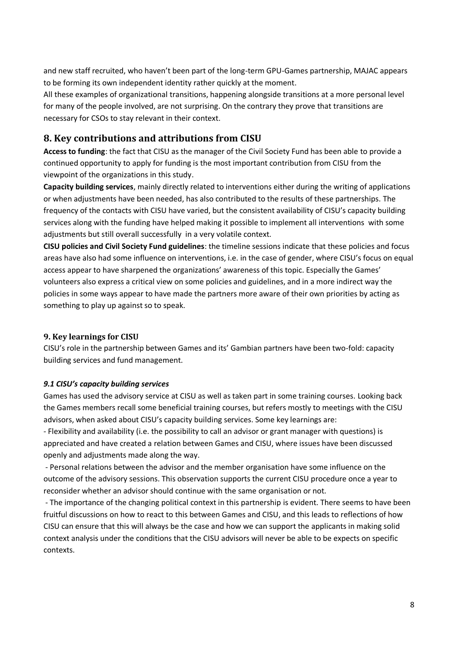and new staff recruited, who haven't been part of the long-term GPU-Games partnership, MAJAC appears to be forming its own independent identity rather quickly at the moment.

All these examples of organizational transitions, happening alongside transitions at a more personal level for many of the people involved, are not surprising. On the contrary they prove that transitions are necessary for CSOs to stay relevant in their context.

## **8. Key contributions and attributions from CISU**

**Access to funding**: the fact that CISU as the manager of the Civil Society Fund has been able to provide a continued opportunity to apply for funding is the most important contribution from CISU from the viewpoint of the organizations in this study.

**Capacity building services**, mainly directly related to interventions either during the writing of applications or when adjustments have been needed, has also contributed to the results of these partnerships. The frequency of the contacts with CISU have varied, but the consistent availability of CISU's capacity building services along with the funding have helped making it possible to implement all interventions with some adjustments but still overall successfully in a very volatile context.

**CISU policies and Civil Society Fund guidelines**: the timeline sessions indicate that these policies and focus areas have also had some influence on interventions, i.e. in the case of gender, where CISU's focus on equal access appear to have sharpened the organizations' awareness of this topic. Especially the Games' volunteers also express a critical view on some policies and guidelines, and in a more indirect way the policies in some ways appear to have made the partners more aware of their own priorities by acting as something to play up against so to speak.

### **9. Key learnings for CISU**

CISU's role in the partnership between Games and its' Gambian partners have been two-fold: capacity building services and fund management.

#### *9.1 CISU's capacity building services*

Games has used the advisory service at CISU as well as taken part in some training courses. Looking back the Games members recall some beneficial training courses, but refers mostly to meetings with the CISU advisors, when asked about CISU's capacity building services. Some key learnings are:

- Flexibility and availability (i.e. the possibility to call an advisor or grant manager with questions) is appreciated and have created a relation between Games and CISU, where issues have been discussed openly and adjustments made along the way.

- Personal relations between the advisor and the member organisation have some influence on the outcome of the advisory sessions. This observation supports the current CISU procedure once a year to reconsider whether an advisor should continue with the same organisation or not.

- The importance of the changing political context in this partnership is evident. There seems to have been fruitful discussions on how to react to this between Games and CISU, and this leads to reflections of how CISU can ensure that this will always be the case and how we can support the applicants in making solid context analysis under the conditions that the CISU advisors will never be able to be expects on specific contexts.